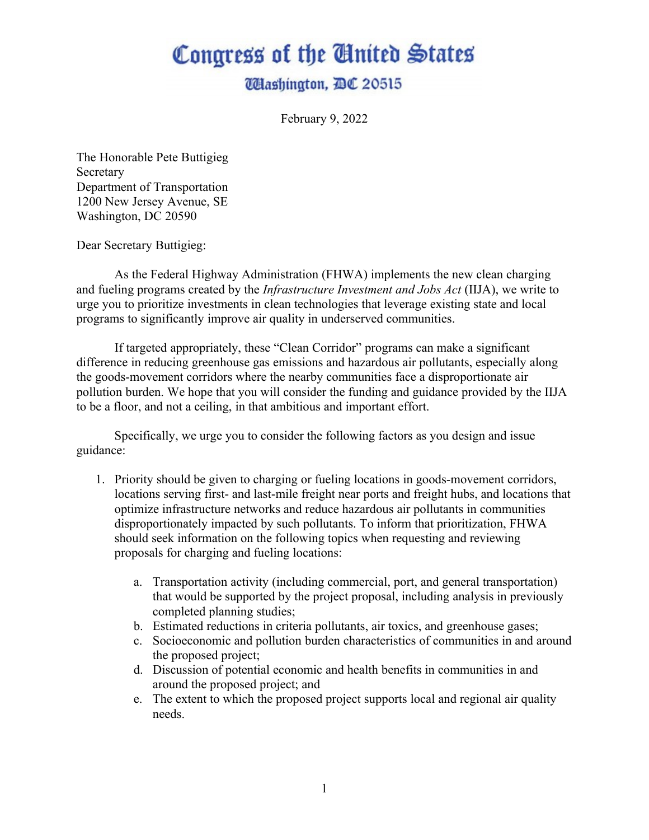## Congress of the Ginited States

## **UHashington, DC 20515**

February 9, 2022

The Honorable Pete Buttigieg Secretary Department of Transportation 1200 New Jersey Avenue, SE Washington, DC 20590

Dear Secretary Buttigieg:

As the Federal Highway Administration (FHWA) implements the new clean charging and fueling programs created by the *Infrastructure Investment and Jobs Act* (IIJA), we write to urge you to prioritize investments in clean technologies that leverage existing state and local programs to significantly improve air quality in underserved communities.

If targeted appropriately, these "Clean Corridor" programs can make a significant difference in reducing greenhouse gas emissions and hazardous air pollutants, especially along the goods-movement corridors where the nearby communities face a disproportionate air pollution burden. We hope that you will consider the funding and guidance provided by the IIJA to be a floor, and not a ceiling, in that ambitious and important effort.

Specifically, we urge you to consider the following factors as you design and issue guidance:

- 1. Priority should be given to charging or fueling locations in goods-movement corridors, locations serving first- and last-mile freight near ports and freight hubs, and locations that optimize infrastructure networks and reduce hazardous air pollutants in communities disproportionately impacted by such pollutants. To inform that prioritization, FHWA should seek information on the following topics when requesting and reviewing proposals for charging and fueling locations:
	- a. Transportation activity (including commercial, port, and general transportation) that would be supported by the project proposal, including analysis in previously completed planning studies;
	- b. Estimated reductions in criteria pollutants, air toxics, and greenhouse gases;
	- c. Socioeconomic and pollution burden characteristics of communities in and around the proposed project;
	- d. Discussion of potential economic and health benefits in communities in and around the proposed project; and
	- e. The extent to which the proposed project supports local and regional air quality needs.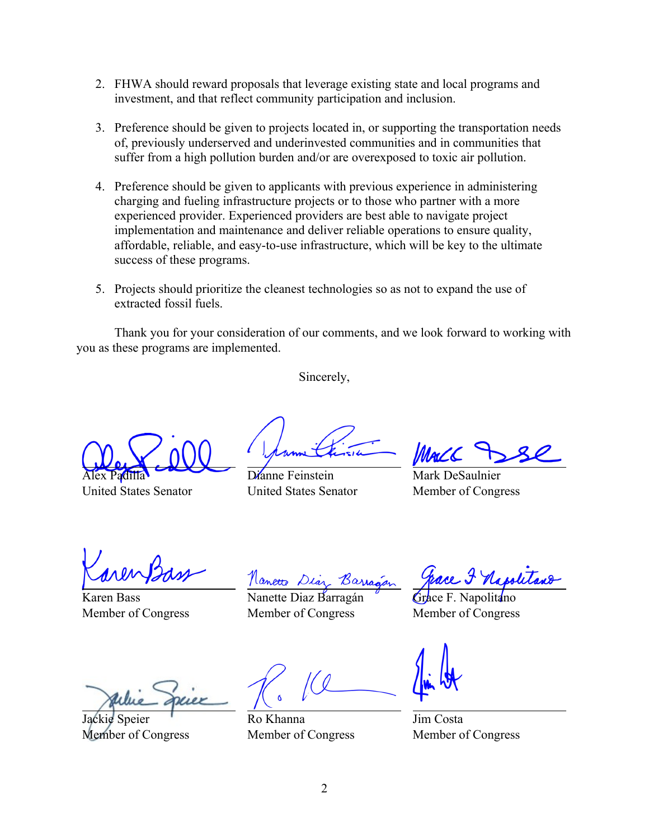- 2. FHWA should reward proposals that leverage existing state and local programs and investment, and that reflect community participation and inclusion.
- 3. Preference should be given to projects located in, or supporting the transportation needs of, previously underserved and underinvested communities and in communities that suffer from a high pollution burden and/or are overexposed to toxic air pollution.
- 4. Preference should be given to applicants with previous experience in administering charging and fueling infrastructure projects or to those who partner with a more experienced provider. Experienced providers are best able to navigate project implementation and maintenance and deliver reliable operations to ensure quality, affordable, reliable, and easy-to-use infrastructure, which will be key to the ultimate success of these programs.
- 5. Projects should prioritize the cleanest technologies so as not to expand the use of extracted fossil fuels.

Thank you for your consideration of our comments, and we look forward to working with you as these programs are implemented.

Sincerely,

Alex Padilla

United States Senator

Dianne Feinstein United States Senator

MacZ

Mark DeSaulnier Member of Congress

Karen Bass Member of Congress

Nanette Diaz Barra

Nanette Diaz Barragán Member of Congress

Grace F. Napolitano Member of Congress

Jackie Speier Member of Congress

Ro Khanna Member of Congress

Jim Costa Member of Congress